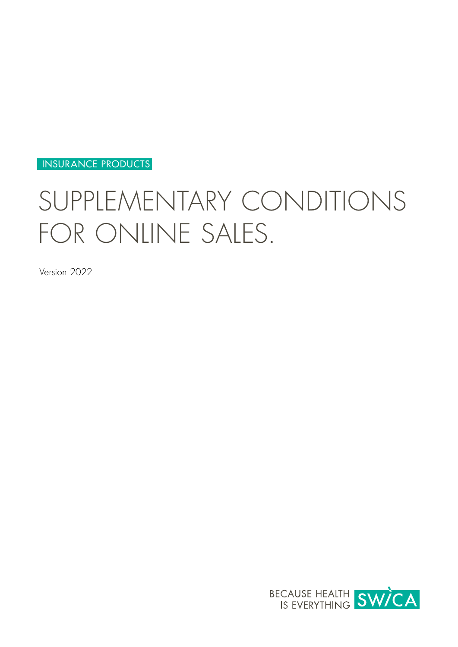INSURANCE PRODUCTS

# SUPPLEMENTARY CONDITIONS FOR ONLINE SALES.

Version 2022

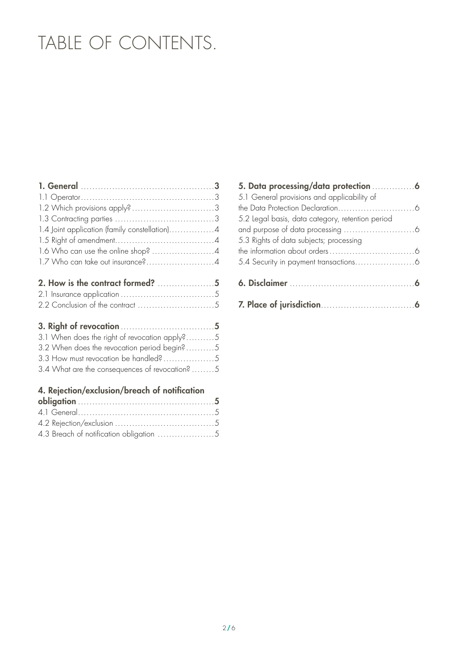# TABLE OF CONTENTS.

| 1.7 Who can take out insurance?4 |  |
|----------------------------------|--|
|                                  |  |

# [3. Right of revocation](#page-4-0). 5

| 3.1 When does the right of revocation apply?5  |  |
|------------------------------------------------|--|
| 3.2 When does the revocation period begin?5    |  |
|                                                |  |
| 3.4 What are the consequences of revocation? 5 |  |

# [4. Rejection/exclusion/breach of notification](#page-4-0)

| 5. Data processing/data protection  6            |  |
|--------------------------------------------------|--|
| 5.1 General provisions and applicability of      |  |
|                                                  |  |
| 5.2 legal basis, data category, retention period |  |
|                                                  |  |
| 5.3 Rights of data subjects; processing          |  |
|                                                  |  |
|                                                  |  |
|                                                  |  |
|                                                  |  |
|                                                  |  |
|                                                  |  |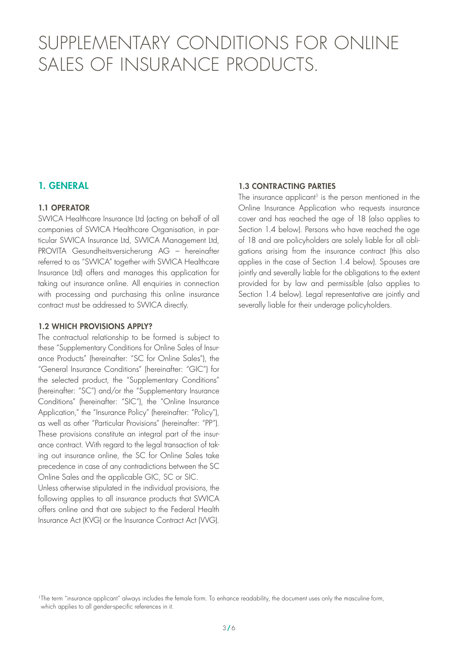# <span id="page-2-0"></span>SUPPLEMENTARY CONDITIONS FOR ONLINE SALES OF INSURANCE PRODUCTS.

## 1. GENERAL

#### 1.1 OPERATOR

SWICA Healthcare Insurance Ltd (acting on behalf of all companies of SWICA Healthcare Organisation, in particular SWICA Insurance Ltd, SWICA Management Ltd, PROVITA Gesundheitsversicherung AG – hereinafter referred to as "SWICA" together with SWICA Healthcare Insurance Ltd) offers and manages this application for taking out insurance online. All enquiries in connection with processing and purchasing this online insurance contract must be addressed to SWICA directly.

#### 1.2 WHICH PROVISIONS APPLY?

The contractual relationship to be formed is subject to these "Supplementary Conditions for Online Sales of Insurance Products" (hereinafter: "SC for Online Sales"), the "General Insurance Conditions" (hereinafter: "GIC") for the selected product, the "Supplementary Conditions" (hereinafter: "SC") and/or the "Supplementary Insurance Conditions" (hereinafter: "SIC"), the "Online Insurance Application," the "Insurance Policy" (hereinafter: "Policy"), as well as other "Particular Provisions" (hereinafter: "PP"). These provisions constitute an integral part of the insurance contract. With regard to the legal transaction of taking out insurance online, the SC for Online Sales take precedence in case of any contradictions between the SC Online Sales and the applicable GIC, SC or SIC.

Unless otherwise stipulated in the individual provisions, the following applies to all insurance products that SWICA offers online and that are subject to the Federal Health Insurance Act (KVG) or the Insurance Contract Act (VVG).

#### 1.3 CONTRACTING PARTIES

The insurance applicant<sup>1</sup> is the person mentioned in the Online Insurance Application who requests insurance cover and has reached the age of 18 (also applies to Section 1.4 below). Persons who have reached the age of 18 and are policyholders are solely liable for all obligations arising from the insurance contract (this also applies in the case of Section 1.4 below). Spouses are jointly and severally liable for the obligations to the extent provided for by law and permissible (also applies to Section 1.4 below). Legal representative are jointly and severally liable for their underage policyholders.

<sup>&</sup>lt;sup>1</sup>The term "insurance applicant" always includes the female form. To enhance readability, the document uses only the masculine form, which applies to all gender-specific references in it.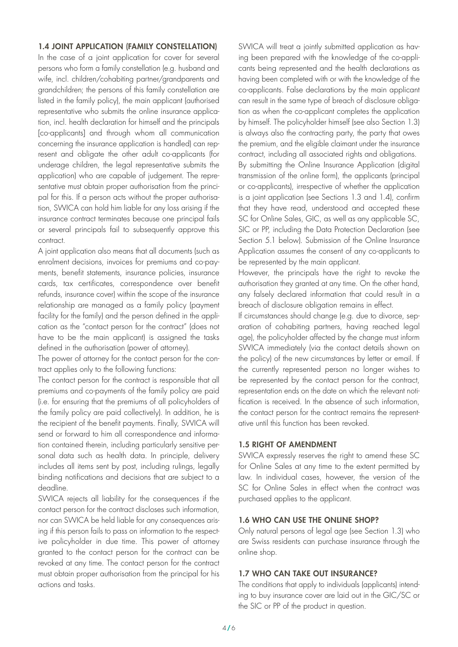#### <span id="page-3-0"></span>1.4 JOINT APPLICATION (FAMILY CONSTELLATION)

In the case of a joint application for cover for several persons who form a family constellation (e.g. husband and wife, incl. children/cohabiting partner/grandparents and grandchildren; the persons of this family constellation are listed in the family policy), the main applicant (authorised representative who submits the online insurance application, incl. health declaration for himself and the principals [co-applicants] and through whom all communication concerning the insurance application is handled) can represent and obligate the other adult co-applicants (for underage children, the legal representative submits the application) who are capable of judgement. The representative must obtain proper authorisation from the principal for this. If a person acts without the proper authorisation, SWICA can hold him liable for any loss arising if the insurance contract terminates because one principal fails or several principals fail to subsequently approve this contract.

A joint application also means that all documents (such as enrolment decisions, invoices for premiums and co-payments, benefit statements, insurance policies, insurance cards, tax certificates, correspondence over benefit refunds, insurance cover) within the scope of the insurance relationship are managed as a family policy (payment facility for the family) and the person defined in the application as the "contact person for the contract" (does not have to be the main applicant) is assigned the tasks defined in the authorisation (power of attorney).

The power of attorney for the contact person for the contract applies only to the following functions:

The contact person for the contract is responsible that all premiums and co-payments of the family policy are paid (i.e. for ensuring that the premiums of all policyholders of the family policy are paid collectively). In addition, he is the recipient of the benefit payments. Finally, SWICA will send or forward to him all correspondence and information contained therein, including particularly sensitive personal data such as health data. In principle, delivery includes all items sent by post, including rulings, legally binding notifications and decisions that are subject to a deadline.

SWICA rejects all liability for the consequences if the contact person for the contract discloses such information, nor can SWICA be held liable for any consequences arising if this person fails to pass on information to the respective policyholder in due time. This power of attorney granted to the contact person for the contract can be revoked at any time. The contact person for the contract must obtain proper authorisation from the principal for his actions and tasks.

SWICA will treat a jointly submitted application as having been prepared with the knowledge of the co-applicants being represented and the health declarations as having been completed with or with the knowledge of the co-applicants. False declarations by the main applicant can result in the same type of breach of disclosure obligation as when the co-applicant completes the application by himself. The policyholder himself (see also Section 1.3) is always also the contracting party, the party that owes the premium, and the eligible claimant under the insurance contract, including all associated rights and obligations. By submitting the Online Insurance Application (digital transmission of the online form), the applicants (principal or co-applicants), irrespective of whether the application is a joint application (see Sections 1.3 and 1.4), confirm that they have read, understood and accepted these SC for Online Sales, GIC, as well as any applicable SC, SIC or PP, including the Data Protection Declaration (see Section 5.1 below). Submission of the Online Insurance Application assumes the consent of any co-applicants to be represented by the main applicant.

However, the principals have the right to revoke the authorisation they granted at any time. On the other hand, any falsely declared information that could result in a breach of disclosure obligation remains in effect.

If circumstances should change (e.g. due to divorce, separation of cohabiting partners, having reached legal age), the policyholder affected by the change must inform SWICA immediately (via the contact details shown on the policy) of the new circumstances by letter or email. If the currently represented person no longer wishes to be represented by the contact person for the contract, representation ends on the date on which the relevant notification is received. In the absence of such information, the contact person for the contract remains the representative until this function has been revoked.

#### 1.5 RIGHT OF AMENDMENT

SWICA expressly reserves the right to amend these SC for Online Sales at any time to the extent permitted by law. In individual cases, however, the version of the SC for Online Sales in effect when the contract was purchased applies to the applicant.

#### 1.6 WHO CAN USE THE ONLINE SHOP?

Only natural persons of legal age (see Section 1.3) who are Swiss residents can purchase insurance through the online shop.

#### 1.7 WHO CAN TAKE OUT INSURANCE?

The conditions that apply to individuals (applicants) intending to buy insurance cover are laid out in the GIC/SC or the SIC or PP of the product in question.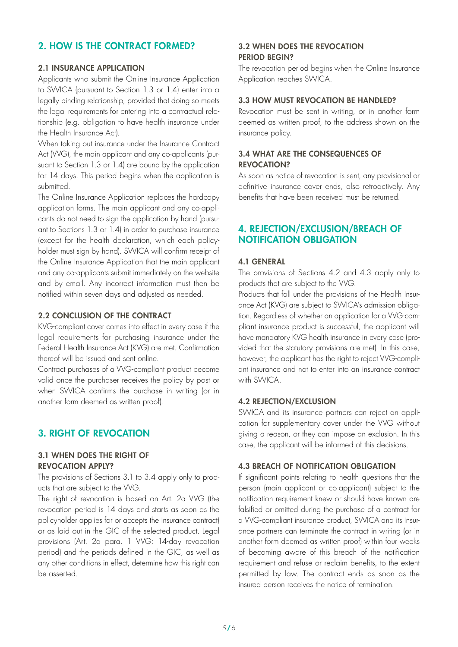# <span id="page-4-0"></span>2. HOW IS THE CONTRACT FORMED?

#### 2.1 INSURANCE APPLICATION

Applicants who submit the Online Insurance Application to SWICA (pursuant to Section 1.3 or 1.4) enter into a legally binding relationship, provided that doing so meets the legal requirements for entering into a contractual relationship (e.g. obligation to have health insurance under the Health Insurance Act).

When taking out insurance under the Insurance Contract Act (VVG), the main applicant and any co-applicants (pursuant to Section 1.3 or 1.4) are bound by the application for 14 days. This period begins when the application is submitted.

The Online Insurance Application replaces the hardcopy application forms. The main applicant and any co-applicants do not need to sign the application by hand (pursuant to Sections 1.3 or 1.4) in order to purchase insurance (except for the health declaration, which each policyholder must sign by hand). SWICA will confirm receipt of the Online Insurance Application that the main applicant and any co-applicants submit immediately on the website and by email. Any incorrect information must then be notified within seven days and adjusted as needed.

#### 2.2 CONCLUSION OF THE CONTRACT

KVG-compliant cover comes into effect in every case if the legal requirements for purchasing insurance under the Federal Health Insurance Act (KVG) are met. Confirmation thereof will be issued and sent online.

Contract purchases of a VVG-compliant product become valid once the purchaser receives the policy by post or when SWICA confirms the purchase in writing (or in another form deemed as written proof).

## 3. RIGHT OF REVOCATION

#### 3.1 WHEN DOES THE RIGHT OF REVOCATION APPLY?

The provisions of Sections 3.1 to 3.4 apply only to products that are subject to the VVG.

The right of revocation is based on Art. 2a VVG (the revocation period is 14 days and starts as soon as the policyholder applies for or accepts the insurance contract) or as laid out in the GIC of the selected product. Legal provisions (Art. 2a para. 1 VVG: 14-day revocation period) and the periods defined in the GIC, as well as any other conditions in effect, determine how this right can be asserted.

#### 3.2 WHEN DOES THE REVOCATION PERIOD BEGIN?

The revocation period begins when the Online Insurance Application reaches SWICA.

#### 3.3 HOW MUST REVOCATION BE HANDLED?

Revocation must be sent in writing, or in another form deemed as written proof, to the address shown on the insurance policy.

#### 3.4 WHAT ARE THE CONSEQUENCES OF REVOCATION?

As soon as notice of revocation is sent, any provisional or definitive insurance cover ends, also retroactively. Any benefits that have been received must be returned.

#### 4. REJECTION/EXCLUSION/BREACH OF NOTIFICATION OBLIGATION

#### 4.1 GENERAL

The provisions of Sections 4.2 and 4.3 apply only to products that are subject to the VVG.

Products that fall under the provisions of the Health Insurance Act (KVG) are subject to SWICA's admission obligation. Regardless of whether an application for a VVG-compliant insurance product is successful, the applicant will have mandatory KVG health insurance in every case (provided that the statutory provisions are met). In this case, however, the applicant has the right to reject VVG-compliant insurance and not to enter into an insurance contract with SWICA.

#### 4.2 REJECTION/EXCLUSION

SWICA and its insurance partners can reject an application for supplementary cover under the VVG without giving a reason, or they can impose an exclusion. In this case, the applicant will be informed of this decisions.

#### 4.3 BREACH OF NOTIFICATION OBLIGATION

If significant points relating to health questions that the person (main applicant or co-applicant) subject to the notification requirement knew or should have known are falsified or omitted during the purchase of a contract for a VVG-compliant insurance product, SWICA and its insurance partners can terminate the contract in writing (or in another form deemed as written proof) within four weeks of becoming aware of this breach of the notification requirement and refuse or reclaim benefits, to the extent permitted by law. The contract ends as soon as the insured person receives the notice of termination.